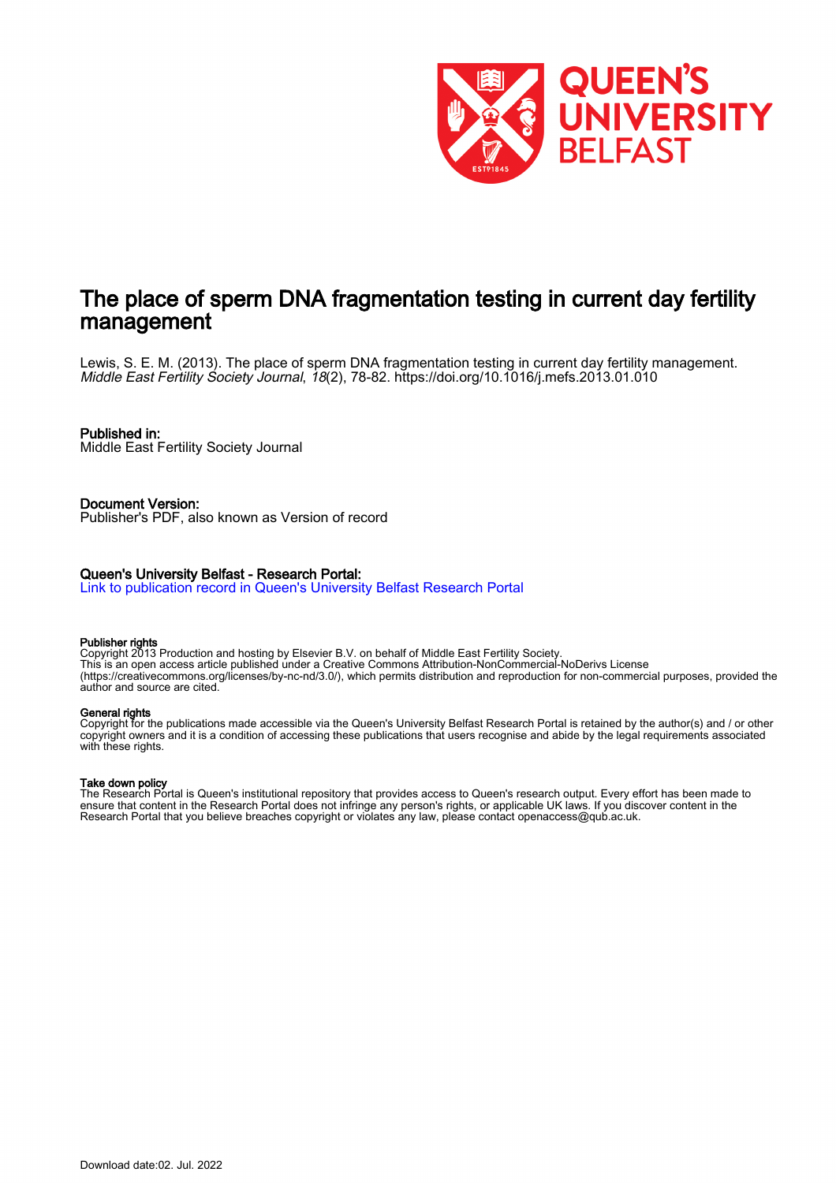

# The place of sperm DNA fragmentation testing in current day fertility management

Lewis, S. E. M. (2013). The place of sperm DNA fragmentation testing in current day fertility management. Middle East Fertility Society Journal, 18(2), 78-82. <https://doi.org/10.1016/j.mefs.2013.01.010>

## Published in:

Middle East Fertility Society Journal

Document Version: Publisher's PDF, also known as Version of record

## Queen's University Belfast - Research Portal:

[Link to publication record in Queen's University Belfast Research Portal](https://pure.qub.ac.uk/en/publications/ebd0a18a-b1ab-4e58-94cd-a2d9af65ff11)

#### Publisher rights

Copyright 2013 Production and hosting by Elsevier B.V. on behalf of Middle East Fertility Society. This is an open access article published under a Creative Commons Attribution-NonCommercial-NoDerivs License (https://creativecommons.org/licenses/by-nc-nd/3.0/), which permits distribution and reproduction for non-commercial purposes, provided the author and source are cited.

#### General rights

Copyright for the publications made accessible via the Queen's University Belfast Research Portal is retained by the author(s) and / or other copyright owners and it is a condition of accessing these publications that users recognise and abide by the legal requirements associated with these rights.

#### Take down policy

The Research Portal is Queen's institutional repository that provides access to Queen's research output. Every effort has been made to ensure that content in the Research Portal does not infringe any person's rights, or applicable UK laws. If you discover content in the Research Portal that you believe breaches copyright or violates any law, please contact openaccess@qub.ac.uk.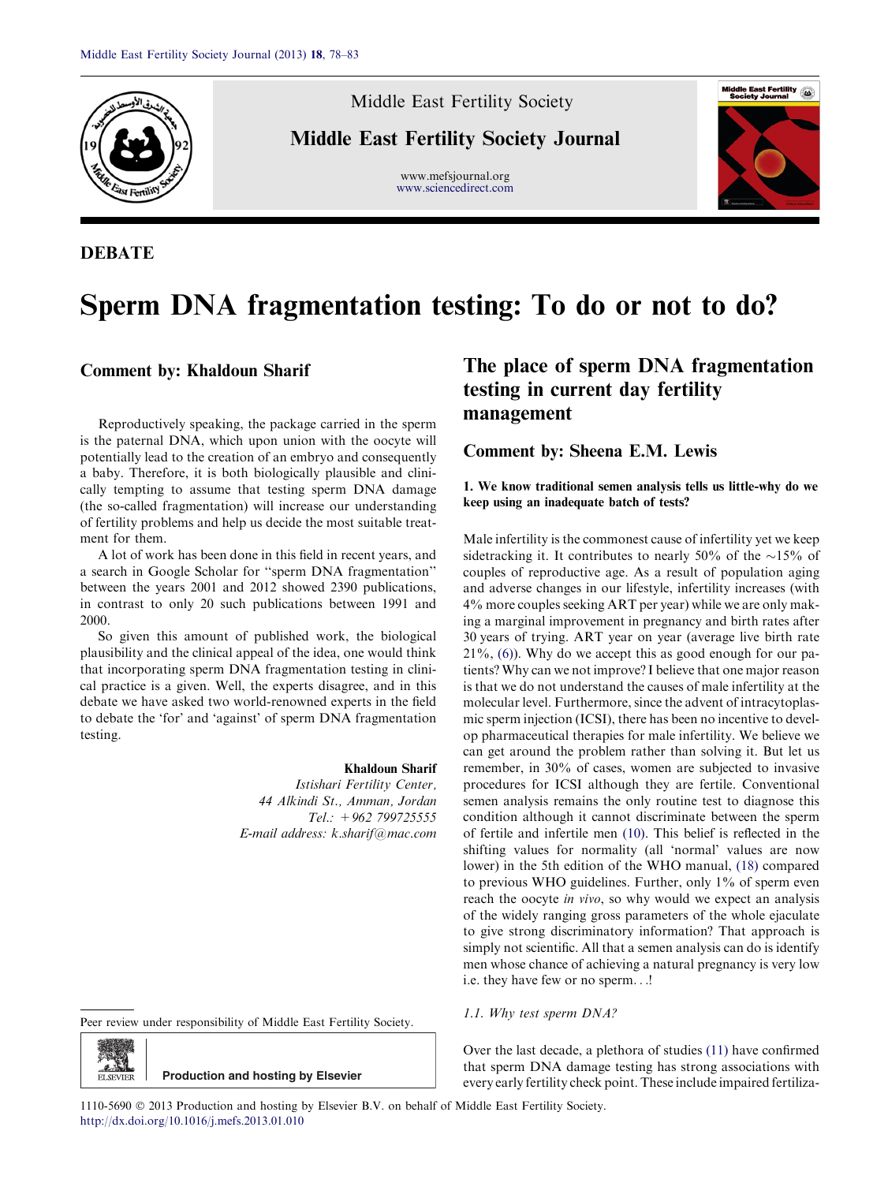

# DEBATE

Middle East Fertility Society

Middle East Fertility Society Journal

www.mefsjournal.org [www.sciencedirect.com](http://www.sciencedirect.com/science/journal/11105690)



# Sperm DNA fragmentation testing: To do or not to do?

# Comment by: Khaldoun Sharif

Reproductively speaking, the package carried in the sperm is the paternal DNA, which upon union with the oocyte will potentially lead to the creation of an embryo and consequently a baby. Therefore, it is both biologically plausible and clinically tempting to assume that testing sperm DNA damage (the so-called fragmentation) will increase our understanding of fertility problems and help us decide the most suitable treatment for them.

A lot of work has been done in this field in recent years, and a search in Google Scholar for ''sperm DNA fragmentation'' between the years 2001 and 2012 showed 2390 publications, in contrast to only 20 such publications between 1991 and 2000.

So given this amount of published work, the biological plausibility and the clinical appeal of the idea, one would think that incorporating sperm DNA fragmentation testing in clinical practice is a given. Well, the experts disagree, and in this debate we have asked two world-renowned experts in the field to debate the 'for' and 'against' of sperm DNA fragmentation testing.

#### Khaldoun Sharif

Istishari Fertility Center, 44 Alkindi St., Amman, Jordan  $Tel.: +962 799725555$ E-mail address: k.sharif@mac.com

Peer review under responsibility of Middle East Fertility Society.



# The place of sperm DNA fragmentation testing in current day fertility management

## Comment by: Sheena E.M. Lewis

1. We know traditional semen analysis tells us little-why do we keep using an inadequate batch of tests?

Male infertility is the commonest cause of infertility yet we keep sidetracking it. It contributes to nearly 50% of the  $\sim$ 15% of couples of reproductive age. As a result of population aging and adverse changes in our lifestyle, infertility increases (with 4% more couples seeking ART per year) while we are only making a marginal improvement in pregnancy and birth rates after 30 years of trying. ART year on year (average live birth rate  $21\%,$  [\(6\)](#page-4-0)). Why do we accept this as good enough for our patients? Why can we not improve? I believe that one major reason is that we do not understand the causes of male infertility at the molecular level. Furthermore, since the advent of intracytoplasmic sperm injection (ICSI), there has been no incentive to develop pharmaceutical therapies for male infertility. We believe we can get around the problem rather than solving it. But let us remember, in 30% of cases, women are subjected to invasive procedures for ICSI although they are fertile. Conventional semen analysis remains the only routine test to diagnose this condition although it cannot discriminate between the sperm of fertile and infertile men [\(10\).](#page-4-0) This belief is reflected in the shifting values for normality (all 'normal' values are now lower) in the 5th edition of the WHO manual, [\(18\)](#page-5-0) compared to previous WHO guidelines. Further, only 1% of sperm even reach the oocyte in vivo, so why would we expect an analysis of the widely ranging gross parameters of the whole ejaculate to give strong discriminatory information? That approach is simply not scientific. All that a semen analysis can do is identify men whose chance of achieving a natural pregnancy is very low i.e. they have few or no sperm...!

## 1.1. Why test sperm DNA?

Over the last decade, a plethora of studies [\(11\)](#page-4-0) have confirmed that sperm DNA damage testing has strong associations with every early fertility check point. These include impaired fertiliza-

1110-5690  $\circ$  2013 Production and hosting by Elsevier B.V. on behalf of Middle East Fertility Society. [http://dx.doi.org/10.1016/j.mefs.2013.01.010](http://dx.doi.org/10.1016/j.mefs.2013.01.008)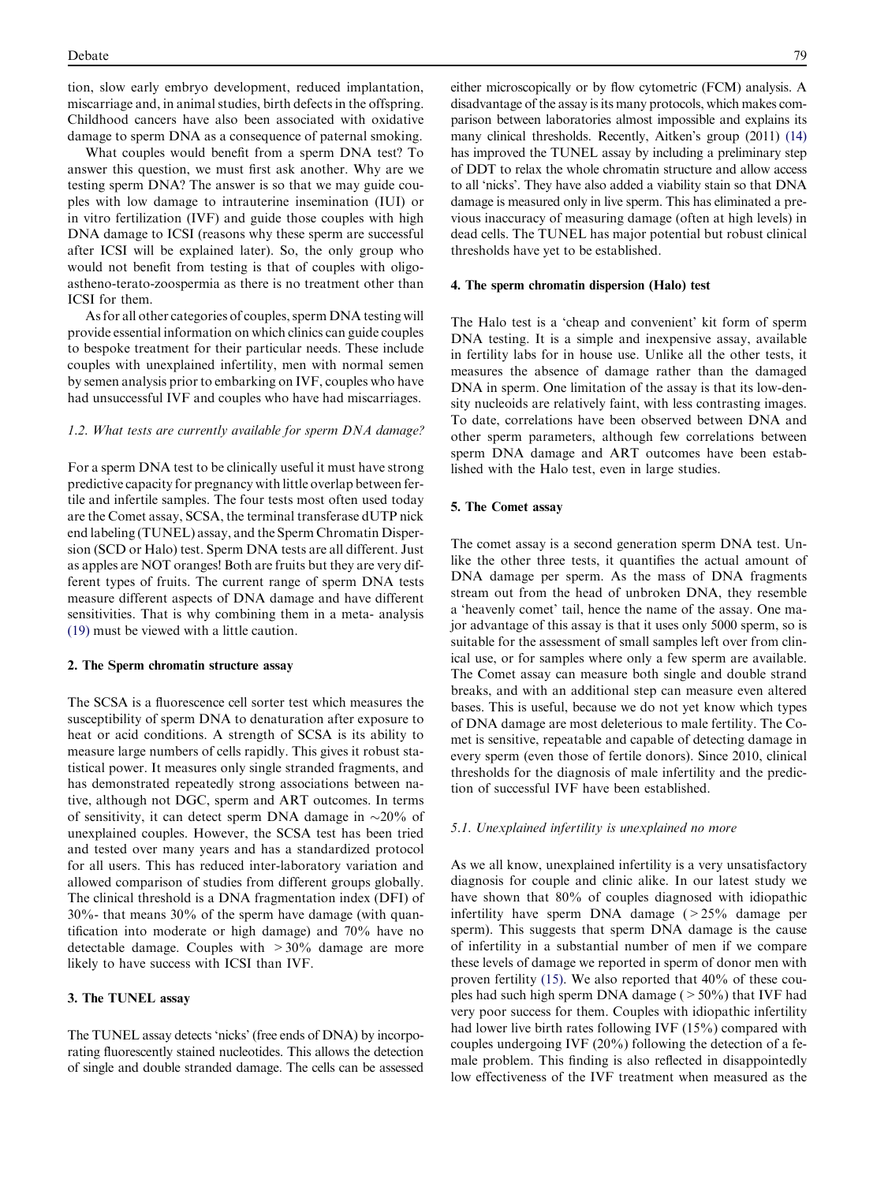tion, slow early embryo development, reduced implantation, miscarriage and, in animal studies, birth defects in the offspring. Childhood cancers have also been associated with oxidative damage to sperm DNA as a consequence of paternal smoking.

What couples would benefit from a sperm DNA test? To answer this question, we must first ask another. Why are we testing sperm DNA? The answer is so that we may guide couples with low damage to intrauterine insemination (IUI) or in vitro fertilization (IVF) and guide those couples with high DNA damage to ICSI (reasons why these sperm are successful after ICSI will be explained later). So, the only group who would not benefit from testing is that of couples with oligoastheno-terato-zoospermia as there is no treatment other than ICSI for them.

As for all other categories of couples, sperm DNA testing will provide essential information on which clinics can guide couples to bespoke treatment for their particular needs. These include couples with unexplained infertility, men with normal semen by semen analysis prior to embarking on IVF, couples who have had unsuccessful IVF and couples who have had miscarriages.

#### 1.2. What tests are currently available for sperm DNA damage?

For a sperm DNA test to be clinically useful it must have strong predictive capacity for pregnancy with little overlap between fertile and infertile samples. The four tests most often used today are the Comet assay, SCSA, the terminal transferase dUTP nick end labeling (TUNEL) assay, and the Sperm Chromatin Dispersion (SCD or Halo) test. Sperm DNA tests are all different. Just as apples are NOT oranges! Both are fruits but they are very different types of fruits. The current range of sperm DNA tests measure different aspects of DNA damage and have different sensitivities. That is why combining them in a meta- analysis [\(19\)](#page-5-0) must be viewed with a little caution.

#### 2. The Sperm chromatin structure assay

The SCSA is a fluorescence cell sorter test which measures the susceptibility of sperm DNA to denaturation after exposure to heat or acid conditions. A strength of SCSA is its ability to measure large numbers of cells rapidly. This gives it robust statistical power. It measures only single stranded fragments, and has demonstrated repeatedly strong associations between native, although not DGC, sperm and ART outcomes. In terms of sensitivity, it can detect sperm DNA damage in  $\sim$ 20% of unexplained couples. However, the SCSA test has been tried and tested over many years and has a standardized protocol for all users. This has reduced inter-laboratory variation and allowed comparison of studies from different groups globally. The clinical threshold is a DNA fragmentation index (DFI) of 30%- that means 30% of the sperm have damage (with quantification into moderate or high damage) and 70% have no detectable damage. Couples with >30% damage are more likely to have success with ICSI than IVF.

#### 3. The TUNEL assay

The TUNEL assay detects 'nicks' (free ends of DNA) by incorporating fluorescently stained nucleotides. This allows the detection of single and double stranded damage. The cells can be assessed either microscopically or by flow cytometric (FCM) analysis. A disadvantage of the assay is its many protocols, which makes comparison between laboratories almost impossible and explains its many clinical thresholds. Recently, Aitken's group (2011) [\(14\)](#page-4-0) has improved the TUNEL assay by including a preliminary step of DDT to relax the whole chromatin structure and allow access to all 'nicks'. They have also added a viability stain so that DNA damage is measured only in live sperm. This has eliminated a previous inaccuracy of measuring damage (often at high levels) in dead cells. The TUNEL has major potential but robust clinical thresholds have yet to be established.

#### 4. The sperm chromatin dispersion (Halo) test

The Halo test is a 'cheap and convenient' kit form of sperm DNA testing. It is a simple and inexpensive assay, available in fertility labs for in house use. Unlike all the other tests, it measures the absence of damage rather than the damaged DNA in sperm. One limitation of the assay is that its low-density nucleoids are relatively faint, with less contrasting images. To date, correlations have been observed between DNA and other sperm parameters, although few correlations between sperm DNA damage and ART outcomes have been established with the Halo test, even in large studies.

#### 5. The Comet assay

The comet assay is a second generation sperm DNA test. Unlike the other three tests, it quantifies the actual amount of DNA damage per sperm. As the mass of DNA fragments stream out from the head of unbroken DNA, they resemble a 'heavenly comet' tail, hence the name of the assay. One major advantage of this assay is that it uses only 5000 sperm, so is suitable for the assessment of small samples left over from clinical use, or for samples where only a few sperm are available. The Comet assay can measure both single and double strand breaks, and with an additional step can measure even altered bases. This is useful, because we do not yet know which types of DNA damage are most deleterious to male fertility. The Comet is sensitive, repeatable and capable of detecting damage in every sperm (even those of fertile donors). Since 2010, clinical thresholds for the diagnosis of male infertility and the prediction of successful IVF have been established.

#### 5.1. Unexplained infertility is unexplained no more

As we all know, unexplained infertility is a very unsatisfactory diagnosis for couple and clinic alike. In our latest study we have shown that 80% of couples diagnosed with idiopathic infertility have sperm DNA damage (>25% damage per sperm). This suggests that sperm DNA damage is the cause of infertility in a substantial number of men if we compare these levels of damage we reported in sperm of donor men with proven fertility [\(15\).](#page-5-0) We also reported that 40% of these couples had such high sperm DNA damage ( $>50\%$ ) that IVF had very poor success for them. Couples with idiopathic infertility had lower live birth rates following IVF (15%) compared with couples undergoing IVF (20%) following the detection of a female problem. This finding is also reflected in disappointedly low effectiveness of the IVF treatment when measured as the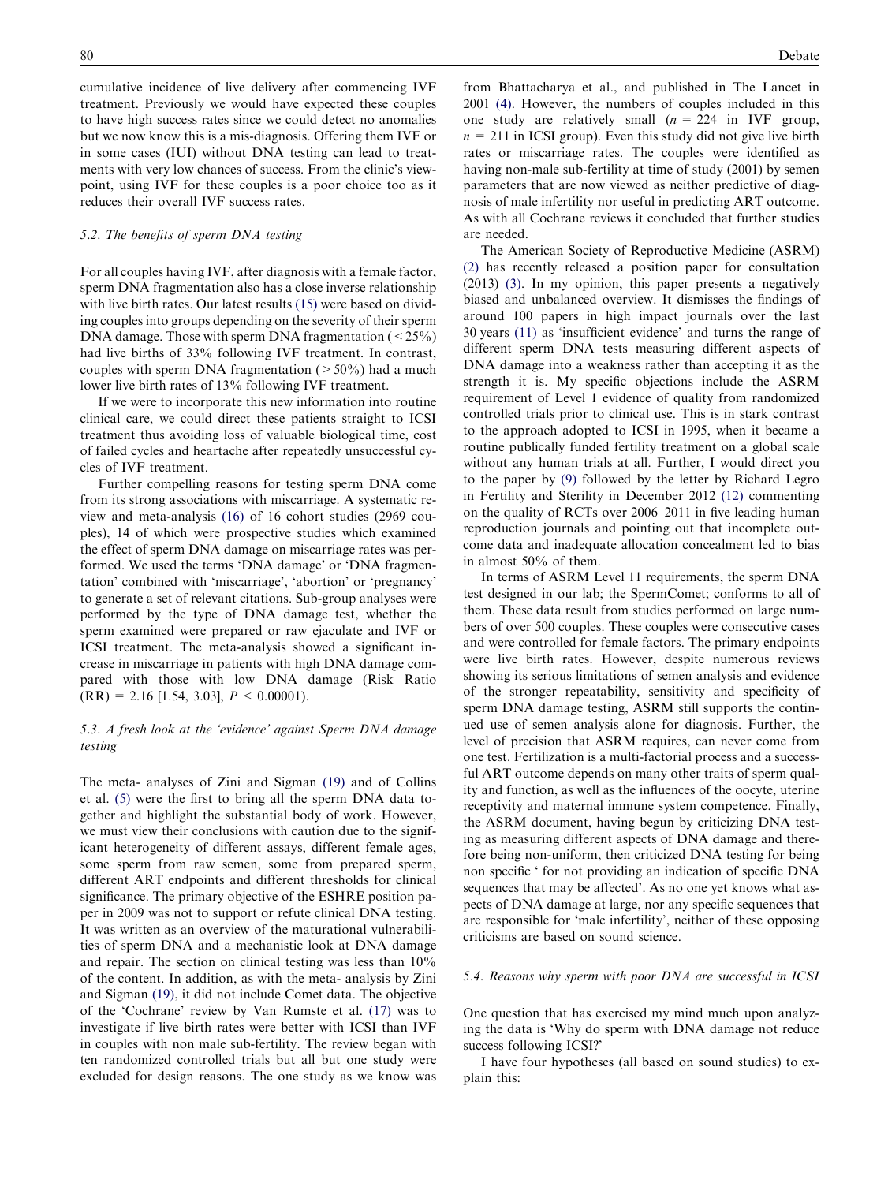cumulative incidence of live delivery after commencing IVF treatment. Previously we would have expected these couples to have high success rates since we could detect no anomalies but we now know this is a mis-diagnosis. Offering them IVF or in some cases (IUI) without DNA testing can lead to treatments with very low chances of success. From the clinic's viewpoint, using IVF for these couples is a poor choice too as it reduces their overall IVF success rates.

#### 5.2. The benefits of sperm DNA testing

For all couples having IVF, after diagnosis with a female factor, sperm DNA fragmentation also has a close inverse relationship with live birth rates. Our latest results [\(15\)](#page-5-0) were based on dividing couples into groups depending on the severity of their sperm DNA damage. Those with sperm DNA fragmentation  $(< 25\%)$ had live births of 33% following IVF treatment. In contrast, couples with sperm DNA fragmentation  $($  > 50%) had a much lower live birth rates of 13% following IVF treatment.

If we were to incorporate this new information into routine clinical care, we could direct these patients straight to ICSI treatment thus avoiding loss of valuable biological time, cost of failed cycles and heartache after repeatedly unsuccessful cycles of IVF treatment.

Further compelling reasons for testing sperm DNA come from its strong associations with miscarriage. A systematic review and meta-analysis [\(16\)](#page-5-0) of 16 cohort studies (2969 couples), 14 of which were prospective studies which examined the effect of sperm DNA damage on miscarriage rates was performed. We used the terms 'DNA damage' or 'DNA fragmentation' combined with 'miscarriage', 'abortion' or 'pregnancy' to generate a set of relevant citations. Sub-group analyses were performed by the type of DNA damage test, whether the sperm examined were prepared or raw ejaculate and IVF or ICSI treatment. The meta-analysis showed a significant increase in miscarriage in patients with high DNA damage compared with those with low DNA damage (Risk Ratio  $(RR) = 2.16$  [1.54, 3.03],  $P < 0.00001$ ).

#### 5.3. A fresh look at the 'evidence' against Sperm DNA damage testing

The meta- analyses of Zini and Sigman [\(19\)](#page-5-0) and of Collins et al. [\(5\)](#page-4-0) were the first to bring all the sperm DNA data together and highlight the substantial body of work. However, we must view their conclusions with caution due to the significant heterogeneity of different assays, different female ages, some sperm from raw semen, some from prepared sperm, different ART endpoints and different thresholds for clinical significance. The primary objective of the ESHRE position paper in 2009 was not to support or refute clinical DNA testing. It was written as an overview of the maturational vulnerabilities of sperm DNA and a mechanistic look at DNA damage and repair. The section on clinical testing was less than 10% of the content. In addition, as with the meta- analysis by Zini and Sigman [\(19\)](#page-5-0), it did not include Comet data. The objective of the 'Cochrane' review by Van Rumste et al. [\(17\)](#page-5-0) was to investigate if live birth rates were better with ICSI than IVF in couples with non male sub-fertility. The review began with ten randomized controlled trials but all but one study were excluded for design reasons. The one study as we know was from Bhattacharya et al., and published in The Lancet in 2001 [\(4\)](#page-4-0). However, the numbers of couples included in this one study are relatively small  $(n = 224$  in IVF group,  $n = 211$  in ICSI group). Even this study did not give live birth rates or miscarriage rates. The couples were identified as having non-male sub-fertility at time of study (2001) by semen parameters that are now viewed as neither predictive of diagnosis of male infertility nor useful in predicting ART outcome. As with all Cochrane reviews it concluded that further studies are needed.

The American Society of Reproductive Medicine (ASRM) [\(2\)](#page-4-0) has recently released a position paper for consultation (2013) [\(3\).](#page-4-0) In my opinion, this paper presents a negatively biased and unbalanced overview. It dismisses the findings of around 100 papers in high impact journals over the last 30 years [\(11\)](#page-4-0) as 'insufficient evidence' and turns the range of different sperm DNA tests measuring different aspects of DNA damage into a weakness rather than accepting it as the strength it is. My specific objections include the ASRM requirement of Level 1 evidence of quality from randomized controlled trials prior to clinical use. This is in stark contrast to the approach adopted to ICSI in 1995, when it became a routine publically funded fertility treatment on a global scale without any human trials at all. Further, I would direct you to the paper by [\(9\)](#page-4-0) followed by the letter by Richard Legro in Fertility and Sterility in December 2012 [\(12\)](#page-4-0) commenting on the quality of RCTs over 2006–2011 in five leading human reproduction journals and pointing out that incomplete outcome data and inadequate allocation concealment led to bias in almost 50% of them.

In terms of ASRM Level 11 requirements, the sperm DNA test designed in our lab; the SpermComet; conforms to all of them. These data result from studies performed on large numbers of over 500 couples. These couples were consecutive cases and were controlled for female factors. The primary endpoints were live birth rates. However, despite numerous reviews showing its serious limitations of semen analysis and evidence of the stronger repeatability, sensitivity and specificity of sperm DNA damage testing, ASRM still supports the continued use of semen analysis alone for diagnosis. Further, the level of precision that ASRM requires, can never come from one test. Fertilization is a multi-factorial process and a successful ART outcome depends on many other traits of sperm quality and function, as well as the influences of the oocyte, uterine receptivity and maternal immune system competence. Finally, the ASRM document, having begun by criticizing DNA testing as measuring different aspects of DNA damage and therefore being non-uniform, then criticized DNA testing for being non specific ' for not providing an indication of specific DNA sequences that may be affected'. As no one yet knows what aspects of DNA damage at large, nor any specific sequences that are responsible for 'male infertility', neither of these opposing criticisms are based on sound science.

#### 5.4. Reasons why sperm with poor DNA are successful in ICSI

One question that has exercised my mind much upon analyzing the data is 'Why do sperm with DNA damage not reduce success following ICSI?'

I have four hypotheses (all based on sound studies) to explain this: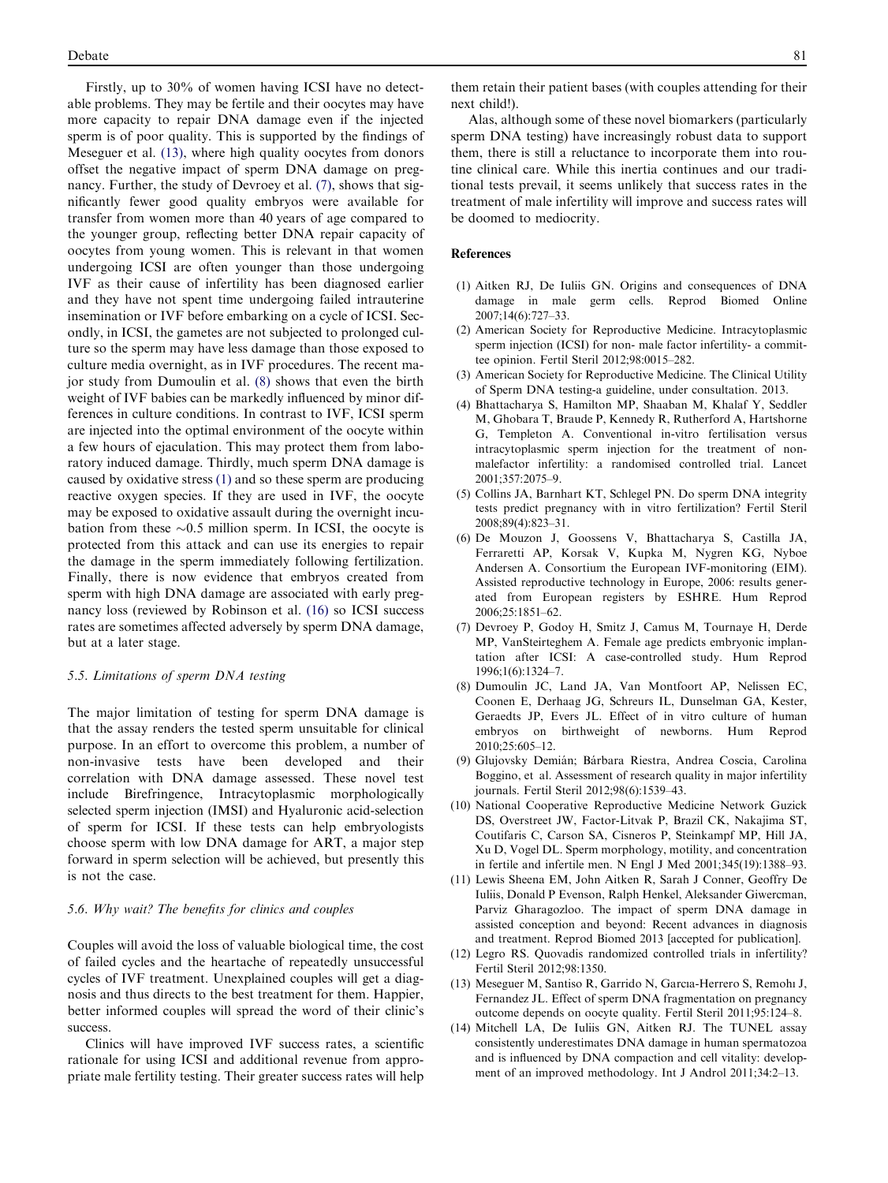<span id="page-4-0"></span>Firstly, up to 30% of women having ICSI have no detectable problems. They may be fertile and their oocytes may have more capacity to repair DNA damage even if the injected sperm is of poor quality. This is supported by the findings of Meseguer et al. (13), where high quality oocytes from donors offset the negative impact of sperm DNA damage on pregnancy. Further, the study of Devroey et al. (7), shows that significantly fewer good quality embryos were available for transfer from women more than 40 years of age compared to the younger group, reflecting better DNA repair capacity of oocytes from young women. This is relevant in that women undergoing ICSI are often younger than those undergoing IVF as their cause of infertility has been diagnosed earlier and they have not spent time undergoing failed intrauterine insemination or IVF before embarking on a cycle of ICSI. Secondly, in ICSI, the gametes are not subjected to prolonged culture so the sperm may have less damage than those exposed to culture media overnight, as in IVF procedures. The recent major study from Dumoulin et al. (8) shows that even the birth weight of IVF babies can be markedly influenced by minor differences in culture conditions. In contrast to IVF, ICSI sperm are injected into the optimal environment of the oocyte within a few hours of ejaculation. This may protect them from laboratory induced damage. Thirdly, much sperm DNA damage is caused by oxidative stress (1) and so these sperm are producing reactive oxygen species. If they are used in IVF, the oocyte may be exposed to oxidative assault during the overnight incubation from these  $\sim 0.5$  million sperm. In ICSI, the oocyte is protected from this attack and can use its energies to repair the damage in the sperm immediately following fertilization. Finally, there is now evidence that embryos created from sperm with high DNA damage are associated with early pregnancy loss (reviewed by Robinson et al. [\(16\)](#page-5-0) so ICSI success rates are sometimes affected adversely by sperm DNA damage, but at a later stage.

#### 5.5. Limitations of sperm DNA testing

The major limitation of testing for sperm DNA damage is that the assay renders the tested sperm unsuitable for clinical purpose. In an effort to overcome this problem, a number of non-invasive tests have been developed and their correlation with DNA damage assessed. These novel test include Birefringence, Intracytoplasmic morphologically selected sperm injection (IMSI) and Hyaluronic acid-selection of sperm for ICSI. If these tests can help embryologists choose sperm with low DNA damage for ART, a major step forward in sperm selection will be achieved, but presently this is not the case.

#### 5.6. Why wait? The benefits for clinics and couples

Couples will avoid the loss of valuable biological time, the cost of failed cycles and the heartache of repeatedly unsuccessful cycles of IVF treatment. Unexplained couples will get a diagnosis and thus directs to the best treatment for them. Happier, better informed couples will spread the word of their clinic's success.

Clinics will have improved IVF success rates, a scientific rationale for using ICSI and additional revenue from appropriate male fertility testing. Their greater success rates will help them retain their patient bases (with couples attending for their next child!).

Alas, although some of these novel biomarkers (particularly sperm DNA testing) have increasingly robust data to support them, there is still a reluctance to incorporate them into routine clinical care. While this inertia continues and our traditional tests prevail, it seems unlikely that success rates in the treatment of male infertility will improve and success rates will be doomed to mediocrity.

#### References

- (1) Aitken RJ, De Iuliis GN. Origins and consequences of DNA damage in male germ cells. Reprod Biomed Online 2007;14(6):727–33.
- (2) American Society for Reproductive Medicine. Intracytoplasmic sperm injection (ICSI) for non- male factor infertility- a committee opinion. Fertil Steril 2012;98:0015–282.
- (3) American Society for Reproductive Medicine. The Clinical Utility of Sperm DNA testing-a guideline, under consultation. 2013.
- (4) Bhattacharya S, Hamilton MP, Shaaban M, Khalaf Y, Seddler M, Ghobara T, Braude P, Kennedy R, Rutherford A, Hartshorne G, Templeton A. Conventional in-vitro fertilisation versus intracytoplasmic sperm injection for the treatment of nonmalefactor infertility: a randomised controlled trial. Lancet 2001;357:2075–9.
- (5) Collins JA, Barnhart KT, Schlegel PN. Do sperm DNA integrity tests predict pregnancy with in vitro fertilization? Fertil Steril 2008;89(4):823–31.
- (6) De Mouzon J, Goossens V, Bhattacharya S, Castilla JA, Ferraretti AP, Korsak V, Kupka M, Nygren KG, Nyboe Andersen A. Consortium the European IVF-monitoring (EIM). Assisted reproductive technology in Europe, 2006: results generated from European registers by ESHRE. Hum Reprod 2006;25:1851–62.
- (7) Devroey P, Godoy H, Smitz J, Camus M, Tournaye H, Derde MP, VanSteirteghem A. Female age predicts embryonic implantation after ICSI: A case-controlled study. Hum Reprod 1996;1(6):1324–7.
- (8) Dumoulin JC, Land JA, Van Montfoort AP, Nelissen EC, Coonen E, Derhaag JG, Schreurs IL, Dunselman GA, Kester, Geraedts JP, Evers JL. Effect of in vitro culture of human embryos on birthweight of newborns. Hum Reprod 2010;25:605–12.
- (9) Glujovsky Demián; Bárbara Riestra, Andrea Coscia, Carolina Boggino, et al. Assessment of research quality in major infertility journals. Fertil Steril 2012;98(6):1539–43.
- (10) National Cooperative Reproductive Medicine Network Guzick DS, Overstreet JW, Factor-Litvak P, Brazil CK, Nakajima ST, Coutifaris C, Carson SA, Cisneros P, Steinkampf MP, Hill JA, Xu D, Vogel DL. Sperm morphology, motility, and concentration in fertile and infertile men. N Engl J Med 2001;345(19):1388–93.
- (11) Lewis Sheena EM, John Aitken R, Sarah J Conner, Geoffry De Iuliis, Donald P Evenson, Ralph Henkel, Aleksander Giwercman, Parviz Gharagozloo. The impact of sperm DNA damage in assisted conception and beyond: Recent advances in diagnosis and treatment. Reprod Biomed 2013 [accepted for publication].
- (12) Legro RS. Quovadis randomized controlled trials in infertility? Fertil Steril 2012;98:1350.
- (13) Meseguer M, Santiso R, Garrido N, Garcıa-Herrero S, Remohı J, Fernandez JL. Effect of sperm DNA fragmentation on pregnancy outcome depends on oocyte quality. Fertil Steril 2011;95:124–8.
- (14) Mitchell LA, De Iuliis GN, Aitken RJ. The TUNEL assay consistently underestimates DNA damage in human spermatozoa and is influenced by DNA compaction and cell vitality: development of an improved methodology. Int J Androl 2011;34:2–13.